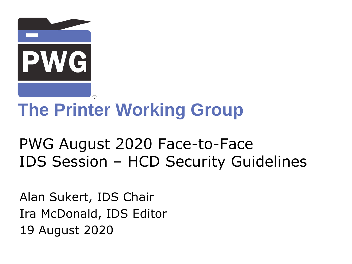

# **The Printer Working Group**

## PWG August 2020 Face-to-Face IDS Session – HCD Security Guidelines

Alan Sukert, IDS Chair Ira McDonald, IDS Editor 19 August 2020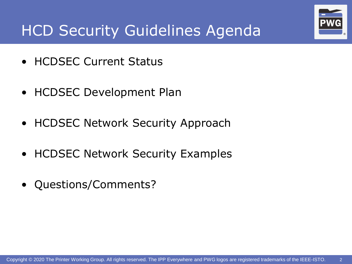

## HCD Security Guidelines Agenda

- HCDSEC Current Status
- HCDSEC Development Plan
- HCDSEC Network Security Approach
- HCDSEC Network Security Examples
- Questions/Comments?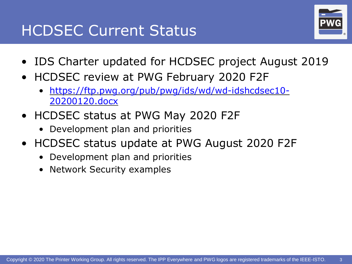#### HCDSEC Current Status



- IDS Charter updated for HCDSEC project August 2019
- HCDSEC review at PWG February 2020 F2F
	- [https://ftp.pwg.org/pub/pwg/ids/wd/wd-idshcdsec10-](https://ftp.pwg.org/pub/pwg/ids/wd/wd-idshcdsec10-20200120.docx) 20200120.docx
- HCDSEC status at PWG May 2020 F2F
	- Development plan and priorities
- HCDSEC status update at PWG August 2020 F2F
	- Development plan and priorities
	- Network Security examples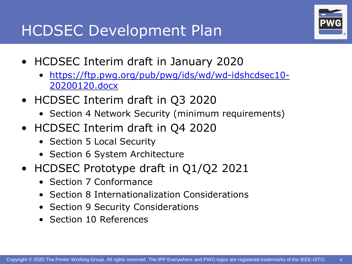#### HCDSEC Development Plan



- HCDSEC Interim draft in January 2020
	- [https://ftp.pwg.org/pub/pwg/ids/wd/wd-idshcdsec10-](https://ftp.pwg.org/pub/pwg/ids/wd/wd-idshcdsec10-20200120.docx) 20200120.docx
- HCDSEC Interim draft in Q3 2020
	- Section 4 Network Security (minimum requirements)
- HCDSEC Interim draft in Q4 2020
	- Section 5 Local Security
	- Section 6 System Architecture
- HCDSEC Prototype draft in Q1/Q2 2021
	- Section 7 Conformance
	- Section 8 Internationalization Considerations
	- Section 9 Security Considerations
	- Section 10 References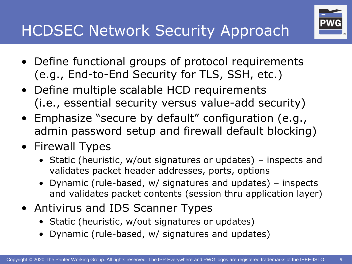## HCDSEC Network Security Approach

- Define functional groups of protocol requirements (e.g., End-to-End Security for TLS, SSH, etc.)
- Define multiple scalable HCD requirements (i.e., essential security versus value-add security)
- Emphasize "secure by default" configuration (e.g., admin password setup and firewall default blocking)
- Firewall Types
	- Static (heuristic, w/out signatures or updates) inspects and validates packet header addresses, ports, options
	- Dynamic (rule-based, w/ signatures and updates) inspects and validates packet contents (session thru application layer)
- Antivirus and IDS Scanner Types
	- Static (heuristic, w/out signatures or updates)
	- Dynamic (rule-based, w/ signatures and updates)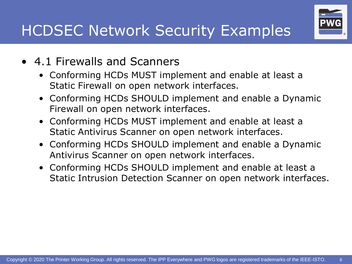# HCDSEC Network Security Examples

- 4.1 Firewalls and Scanners
	- Conforming HCDs MUST implement and enable at least a Static Firewall on open network interfaces.
	- Conforming HCDs SHOULD implement and enable a Dynamic Firewall on open network interfaces.
	- Conforming HCDs MUST implement and enable at least a Static Antivirus Scanner on open network interfaces.
	- Conforming HCDs SHOULD implement and enable a Dynamic Antivirus Scanner on open network interfaces.
	- Conforming HCDs SHOULD implement and enable at least a Static Intrusion Detection Scanner on open network interfaces.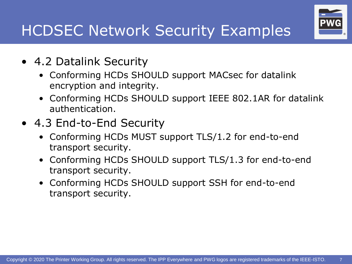# HCDSEC Network Security Examples

- 4.2 Datalink Security
	- Conforming HCDs SHOULD support MACsec for datalink encryption and integrity.
	- Conforming HCDs SHOULD support IEEE 802.1AR for datalink authentication.
- 4.3 End-to-End Security
	- Conforming HCDs MUST support TLS/1.2 for end-to-end transport security.
	- Conforming HCDs SHOULD support TLS/1.3 for end-to-end transport security.
	- Conforming HCDs SHOULD support SSH for end-to-end transport security.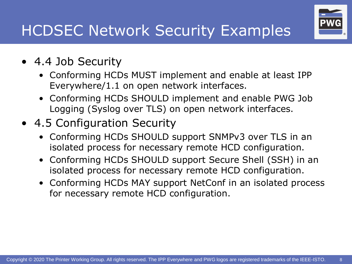# HCDSEC Network Security Examples

- 4.4 Job Security
	- Conforming HCDs MUST implement and enable at least IPP Everywhere/1.1 on open network interfaces.
	- Conforming HCDs SHOULD implement and enable PWG Job Logging (Syslog over TLS) on open network interfaces.
- 4.5 Configuration Security
	- Conforming HCDs SHOULD support SNMPv3 over TLS in an isolated process for necessary remote HCD configuration.
	- Conforming HCDs SHOULD support Secure Shell (SSH) in an isolated process for necessary remote HCD configuration.
	- Conforming HCDs MAY support NetConf in an isolated process for necessary remote HCD configuration.